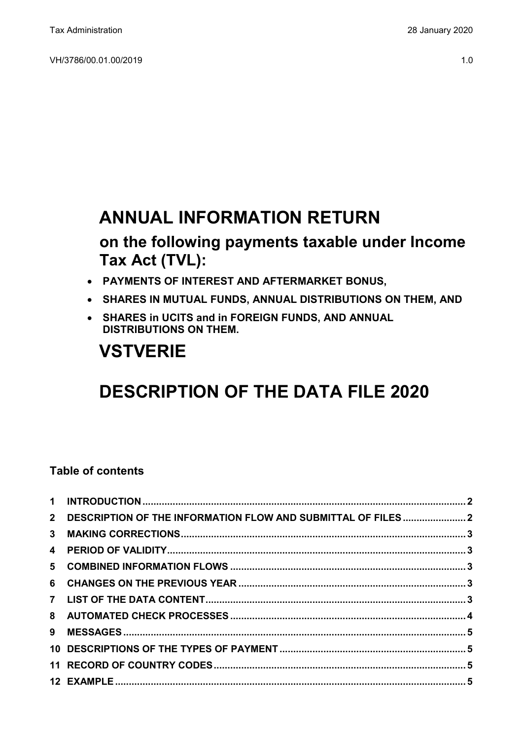## **ANNUAL INFORMATION RETURN**

## **on the following payments taxable under Income Tax Act (TVL):**

- **PAYMENTS OF INTEREST AND AFTERMARKET BONUS,**
- **SHARES IN MUTUAL FUNDS, ANNUAL DISTRIBUTIONS ON THEM, AND**
- **SHARES in UCITS and in FOREIGN FUNDS, AND ANNUAL DISTRIBUTIONS ON THEM.**

# **VSTVERIE**

# **DESCRIPTION OF THE DATA FILE 2020**

### **Table of contents**

| 2 DESCRIPTION OF THE INFORMATION FLOW AND SUBMITTAL OF FILES2 |  |
|---------------------------------------------------------------|--|
|                                                               |  |
|                                                               |  |
|                                                               |  |
|                                                               |  |
|                                                               |  |
|                                                               |  |
|                                                               |  |
|                                                               |  |
|                                                               |  |
|                                                               |  |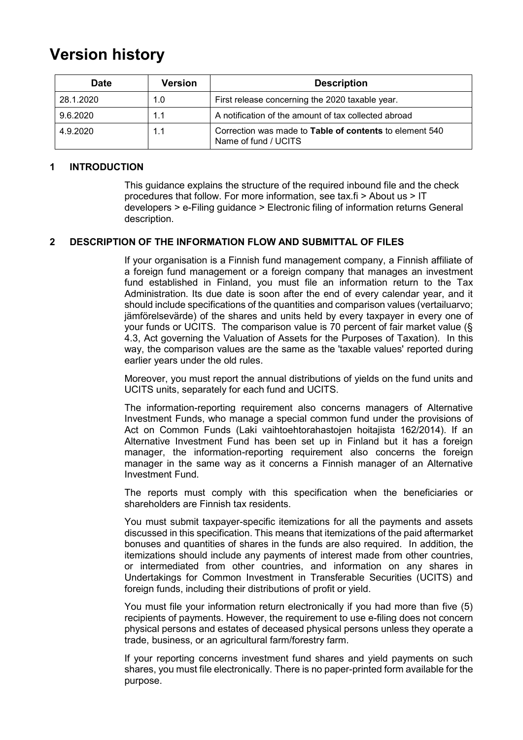## **Version history**

| <b>Date</b> | <b>Version</b> | <b>Description</b>                                                                     |
|-------------|----------------|----------------------------------------------------------------------------------------|
| 28.1.2020   | 1.0            | First release concerning the 2020 taxable year.                                        |
| 9.6.2020    | 1.1            | A notification of the amount of tax collected abroad                                   |
| 4.9.2020    | 1.1            | Correction was made to <b>Table of contents</b> to element 540<br>Name of fund / UCITS |

#### <span id="page-1-0"></span>**1 INTRODUCTION**

This guidance explains the structure of the required inbound file and the check procedures that follow. For more information, see tax.fi > About us > IT developers > e-Filing guidance > Electronic filing of information returns General description.

#### <span id="page-1-1"></span>**2 DESCRIPTION OF THE INFORMATION FLOW AND SUBMITTAL OF FILES**

If your organisation is a Finnish fund management company, a Finnish affiliate of a foreign fund management or a foreign company that manages an investment fund established in Finland, you must file an information return to the Tax Administration. Its due date is soon after the end of every calendar year, and it should include specifications of the quantities and comparison values (vertailuarvo; jämförelsevärde) of the shares and units held by every taxpayer in every one of your funds or UCITS. The comparison value is 70 percent of fair market value (§ 4.3, Act governing the Valuation of Assets for the Purposes of Taxation). In this way, the comparison values are the same as the 'taxable values' reported during earlier years under the old rules.

Moreover, you must report the annual distributions of yields on the fund units and UCITS units, separately for each fund and UCITS.

The information-reporting requirement also concerns managers of Alternative Investment Funds, who manage a special common fund under the provisions of Act on Common Funds (Laki vaihtoehtorahastojen hoitajista 162/2014). If an Alternative Investment Fund has been set up in Finland but it has a foreign manager, the information-reporting requirement also concerns the foreign manager in the same way as it concerns a Finnish manager of an Alternative Investment Fund.

The reports must comply with this specification when the beneficiaries or shareholders are Finnish tax residents.

You must submit taxpayer-specific itemizations for all the payments and assets discussed in this specification. This means that itemizations of the paid aftermarket bonuses and quantities of shares in the funds are also required. In addition, the itemizations should include any payments of interest made from other countries, or intermediated from other countries, and information on any shares in Undertakings for Common Investment in Transferable Securities (UCITS) and foreign funds, including their distributions of profit or yield.

You must file your information return electronically if you had more than five (5) recipients of payments. However, the requirement to use e-filing does not concern physical persons and estates of deceased physical persons unless they operate a trade, business, or an agricultural farm/forestry farm.

If your reporting concerns investment fund shares and yield payments on such shares, you must file electronically. There is no paper-printed form available for the purpose.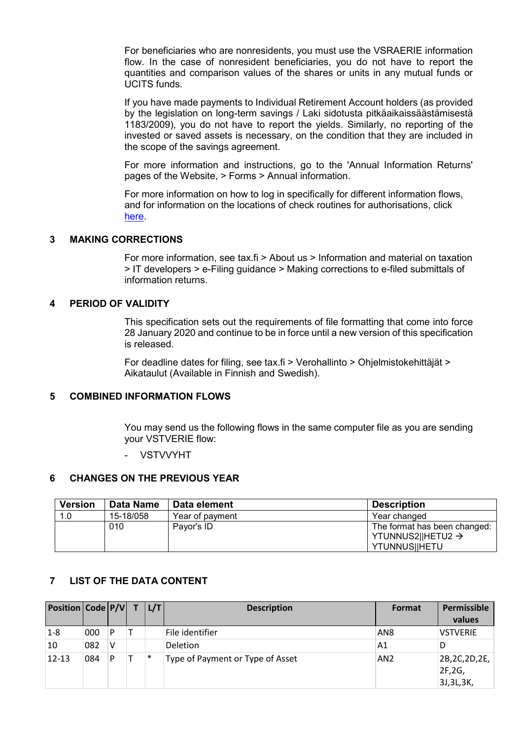For beneficiaries who are nonresidents, you must use the VSRAERIE information flow. In the case of nonresident beneficiaries, you do not have to report the quantities and comparison values of the shares or units in any mutual funds or UCITS funds.

If you have made payments to Individual Retirement Account holders (as provided by the legislation on long-term savings / Laki sidotusta pitkäaikaissäästämisestä 1183/2009), you do not have to report the yields. Similarly, no reporting of the invested or saved assets is necessary, on the condition that they are included in the scope of the savings agreement.

For more information and instructions, go to the 'Annual Information Returns' pages of the Website, > Forms > Annual information.

For more information on how to log in specifically for different information flows, and for information on the locations of check routines for authorisations, click [here.](https://www.ilmoitin.fi/webtamo/sivut/IlmoituslajiRoolit?kieli=en&tv=VSTVERIE)

#### <span id="page-2-0"></span>**3 MAKING CORRECTIONS**

For more information, see tax.fi > About us > Information and material on taxation > IT developers > e-Filing guidance > Making corrections to e-filed submittals of information returns.

#### <span id="page-2-1"></span>**4 PERIOD OF VALIDITY**

This specification sets out the requirements of file formatting that come into force 28 January 2020 and continue to be in force until a new version of this specification is released.

For deadline dates for filing, see tax.fi > Verohallinto > Ohjelmistokehittäjät > Aikataulut (Available in Finnish and Swedish).

#### <span id="page-2-2"></span>**5 COMBINED INFORMATION FLOWS**

You may send us the following flows in the same computer file as you are sending your VSTVERIE flow:

**VSTVVYHT** 

#### <span id="page-2-3"></span>**6 CHANGES ON THE PREVIOUS YEAR**

| <b>Version</b> | Data Name | Data element    | <b>Description</b>            |
|----------------|-----------|-----------------|-------------------------------|
| 1.0            | 15-18/058 | Year of payment | Year changed                  |
|                | 010       | Payor's ID      | The format has been changed:  |
|                |           |                 | YTUNNUS2  HETU2 $\rightarrow$ |
|                |           |                 | YTUNNUS  HETU                 |

#### <span id="page-2-4"></span>**7 LIST OF THE DATA CONTENT**

| <b>Position Code P/V</b> |     |   | L/T    | <b>Description</b>               | Format          | Permissible<br>values                  |
|--------------------------|-----|---|--------|----------------------------------|-----------------|----------------------------------------|
| $1-8$                    | 000 | P |        | File identifier                  | AN <sub>8</sub> | <b>VSTVERIE</b>                        |
| 10                       | 082 | ν |        | Deletion                         | A1              | D                                      |
| $12 - 13$                | 084 | P | $\ast$ | Type of Payment or Type of Asset | AN <sub>2</sub> | 2B, 2C, 2D, 2E,<br>2F,2G,<br>3J,3L,3K, |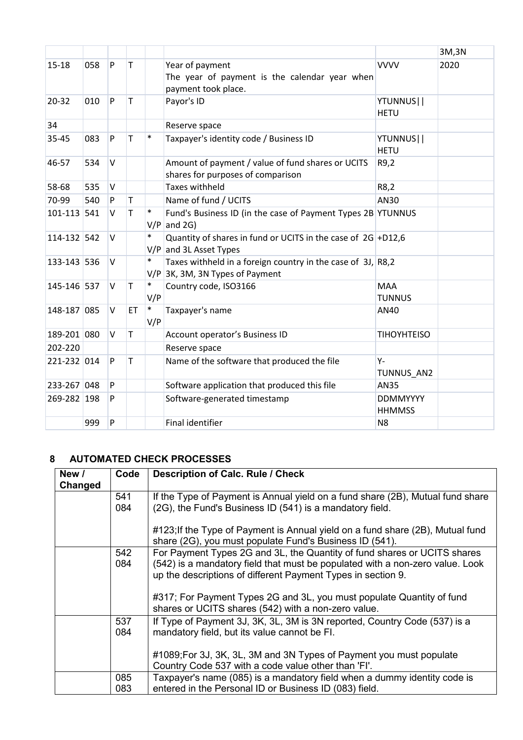|             |     |        |              |               |                                                                                                  |                                  | 3M,3N |
|-------------|-----|--------|--------------|---------------|--------------------------------------------------------------------------------------------------|----------------------------------|-------|
| 15-18       | 058 | P      | T            |               | Year of payment<br>The year of payment is the calendar year when<br>payment took place.          | <b>VVVV</b>                      | 2020  |
| 20-32       | 010 | P      | T            |               | Payor's ID                                                                                       | YTUNNUS  <br><b>HETU</b>         |       |
| 34          |     |        |              |               | Reserve space                                                                                    |                                  |       |
| 35-45       | 083 | P      | T            | $\ast$        | Taxpayer's identity code / Business ID                                                           | YTUNNUS  <br><b>HETU</b>         |       |
| 46-57       | 534 | $\vee$ |              |               | Amount of payment / value of fund shares or UCITS<br>shares for purposes of comparison           | R9,2                             |       |
| 58-68       | 535 | $\vee$ |              |               | <b>Taxes withheld</b>                                                                            | R8,2                             |       |
| 70-99       | 540 | P      | $\mathsf T$  |               | Name of fund / UCITS                                                                             | AN30                             |       |
| 101-113 541 |     | V      | T            | $\ast$        | Fund's Business ID (in the case of Payment Types 2B YTUNNUS<br>$V/P$ and 2G)                     |                                  |       |
| 114-132 542 |     | $\vee$ |              | $\ast$        | Quantity of shares in fund or UCITS in the case of $2G$ +D12,6<br>$V/P$ and 3L Asset Types       |                                  |       |
| 133-143 536 |     | V      |              | $\ast$        | Taxes withheld in a foreign country in the case of 3J, R8,2<br>$V/P$ 3K, 3M, 3N Types of Payment |                                  |       |
| 145-146 537 |     | V      | T            | $\ast$<br>V/P | Country code, ISO3166                                                                            | <b>MAA</b><br><b>TUNNUS</b>      |       |
| 148-187 085 |     | $\vee$ | <b>ET</b>    | $\ast$<br>V/P | Taxpayer's name                                                                                  | AN40                             |       |
| 189-201 080 |     | V      | T            |               | Account operator's Business ID                                                                   | <b>TIHOYHTEISO</b>               |       |
| 202-220     |     |        |              |               | Reserve space                                                                                    |                                  |       |
| 221-232 014 |     | P      | $\mathsf{T}$ |               | Name of the software that produced the file                                                      | Υ-<br>TUNNUS AN2                 |       |
| 233-267 048 |     | P      |              |               | Software application that produced this file                                                     | <b>AN35</b>                      |       |
| 269-282 198 |     | P      |              |               | Software-generated timestamp                                                                     | <b>DDMMYYYY</b><br><b>HHMMSS</b> |       |
|             | 999 | P      |              |               | <b>Final identifier</b>                                                                          | N <sub>8</sub>                   |       |

### <span id="page-3-0"></span>**8 AUTOMATED CHECK PROCESSES**

| New /<br>Changed | Code       | <b>Description of Calc. Rule / Check</b>                                                                                                                                                                                  |
|------------------|------------|---------------------------------------------------------------------------------------------------------------------------------------------------------------------------------------------------------------------------|
|                  | 541<br>084 | If the Type of Payment is Annual yield on a fund share (2B), Mutual fund share<br>(2G), the Fund's Business ID (541) is a mandatory field.                                                                                |
|                  |            | #123; If the Type of Payment is Annual yield on a fund share (2B), Mutual fund<br>share (2G), you must populate Fund's Business ID (541).                                                                                 |
|                  | 542<br>084 | For Payment Types 2G and 3L, the Quantity of fund shares or UCITS shares<br>(542) is a mandatory field that must be populated with a non-zero value. Look<br>up the descriptions of different Payment Types in section 9. |
|                  |            | #317; For Payment Types 2G and 3L, you must populate Quantity of fund<br>shares or UCITS shares (542) with a non-zero value.                                                                                              |
|                  | 537<br>084 | If Type of Payment 3J, 3K, 3L, 3M is 3N reported, Country Code (537) is a<br>mandatory field, but its value cannot be FI.                                                                                                 |
|                  |            | #1089;For 3J, 3K, 3L, 3M and 3N Types of Payment you must populate<br>Country Code 537 with a code value other than 'FI'.                                                                                                 |
|                  | 085<br>083 | Taxpayer's name (085) is a mandatory field when a dummy identity code is<br>entered in the Personal ID or Business ID (083) field.                                                                                        |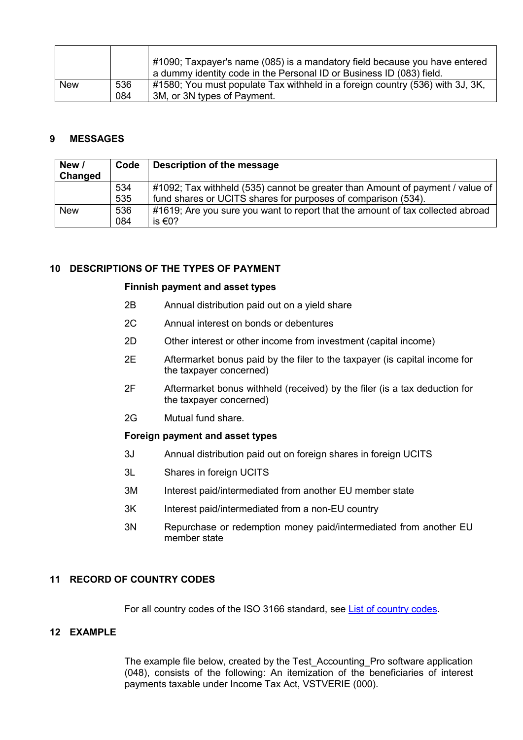|            |     | $#1090$ ; Taxpayer's name (085) is a mandatory field because you have entered |
|------------|-----|-------------------------------------------------------------------------------|
|            |     | a dummy identity code in the Personal ID or Business ID (083) field.          |
| <b>New</b> | 536 | #1580; You must populate Tax withheld in a foreign country (536) with 3J, 3K, |
|            | 084 | 3M, or 3N types of Payment.                                                   |

#### <span id="page-4-0"></span>**9 MESSAGES**

| New /<br>Changed | Code | Description of the message                                                     |
|------------------|------|--------------------------------------------------------------------------------|
|                  | 534  | #1092; Tax withheld (535) cannot be greater than Amount of payment / value of  |
|                  | 535  | fund shares or UCITS shares for purposes of comparison (534).                  |
| <b>New</b>       | 536  | #1619; Are you sure you want to report that the amount of tax collected abroad |
|                  | 084  | is €0?                                                                         |

#### <span id="page-4-1"></span>**10 DESCRIPTIONS OF THE TYPES OF PAYMENT**

#### **Finnish payment and asset types**

- 2B Annual distribution paid out on a yield share
- 2C Annual interest on bonds or debentures
- 2D Other interest or other income from investment (capital income)
- 2E Aftermarket bonus paid by the filer to the taxpayer (is capital income for the taxpayer concerned)
- 2F Aftermarket bonus withheld (received) by the filer (is a tax deduction for the taxpayer concerned)
- 2G Mutual fund share.

#### **Foreign payment and asset types**

- 3J Annual distribution paid out on foreign shares in foreign UCITS
- 3L Shares in foreign UCITS
- 3M Interest paid/intermediated from another EU member state
- 3K Interest paid/intermediated from a non-EU country
- 3N Repurchase or redemption money paid/intermediated from another EU member state

#### <span id="page-4-2"></span>**11 RECORD OF COUNTRY CODES**

For all country codes of the ISO 3166 standard, see [List of country codes.](https://www.ilmoitin.fi/webtamo/sivut/ExcelPohjat?5-1.ILinkListener-apuvalineet-maatunnuslistaus_linkki&kieli=en)

#### <span id="page-4-3"></span>**12 EXAMPLE**

The example file below, created by the Test\_Accounting\_Pro software application (048), consists of the following: An itemization of the beneficiaries of interest payments taxable under Income Tax Act, VSTVERIE (000).